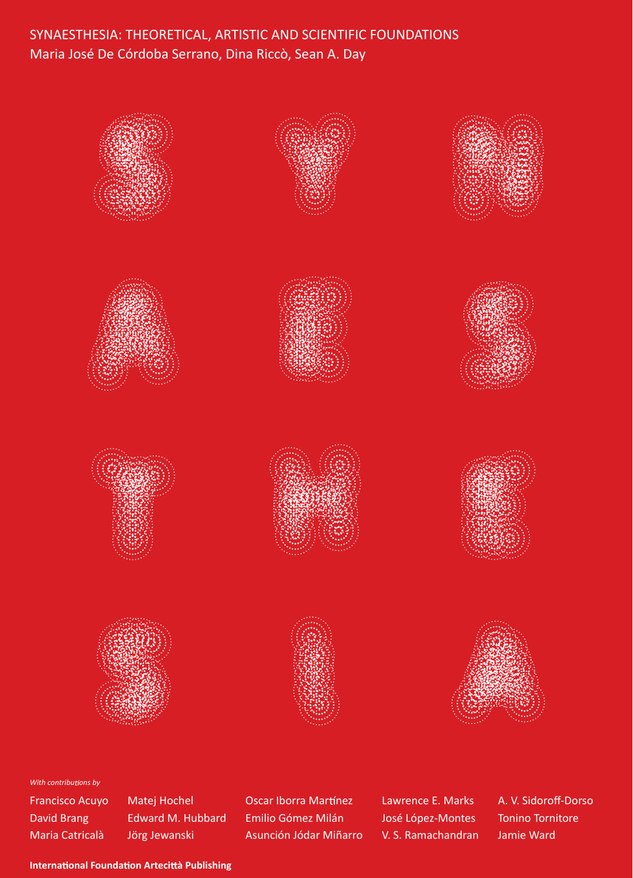# SYNAESTHESIA: THEORETICAL, ARTISTIC AND SCIENTIFIC FOUNDATIONS Maria José De Córdoba Serrano, Dina Riccò, Sean A. Day



#### *With contributions by*

Francisco Acuyo David Brang Maria Catricalà

Matej Hochel Edward M. Hubbard Jörg Jewanski

Oscar Iborra Martínez Emilio Gómez Milán Asunción Jódar Miñarro Lawrence E. Marks José López-Montes V. S. Ramachandran A. V. Sidoroff-Dorso Tonino Tornitore Jamie Ward

**International Foundation Artecittà Publishing**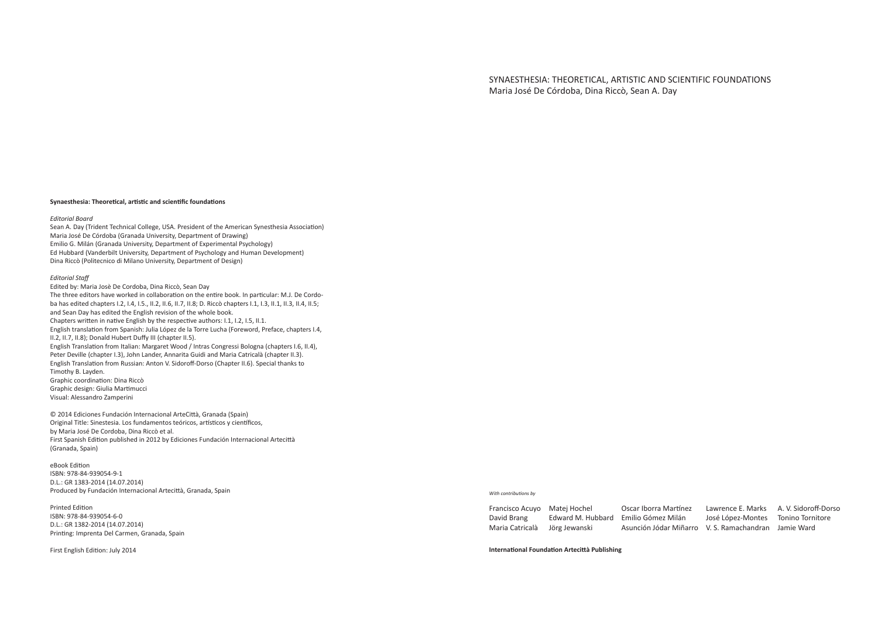SYNAESTHESIA: THEORETICAL, ARTISTIC AND SCIENTIFIC FOUNDATIONS Maria José De Córdoba, Dina Riccò, Sean A. Day

#### Synaesthesia: Theoretical, artistic and scientific foundations

#### *Editorial Board*

Sean A. Day (Trident Technical College, USA. President of the American Synesthesia Association) Maria José De Córdoba (Granada University, Department of Drawing) Emilio G. Milán (Granada University, Department of Experimental Psychology) Ed Hubbard (Vanderbilt University, Department of Psychology and Human Development) Dina Riccò (Politecnico di Milano University, Department of Design)

#### *Editorial Staf*

Edited by: Maria Josè De Cordoba, Dina Riccò, Sean Day The three editors have worked in collaboration on the entire book. In particular: M.J. De Cordoba has edited chapters I.2, I.4, I.5., II.2, II.6, II.7, II.8; D. Riccò chapters I.1, I.3, II.1, II.3, II.4, II.5; and Sean Day has edited the English revision of the whole book. Chapters written in native English by the respective authors: I.1, I.2, I.5, II.1. English translaion from Spanish: Julia López de la Torre Lucha (Foreword, Preface, chapters I.4, II.2, II.7, II.8); Donald Hubert Dufy III (chapter II.5). English Translation from Italian: Margaret Wood / Intras Congressi Bologna (chapters I.6, II.4), Peter Deville (chapter I.3), John Lander, Annarita Guidi and Maria Catricalà (chapter II.3). English Translation from Russian: Anton V. Sidoroff-Dorso (Chapter II.6). Special thanks to Timothy B. Layden. Graphic coordination: Dina Riccò Graphic design: Giulia Marimucci Visual: Alessandro Zamperini

© 2014 Ediciones Fundación Internacional ArteCità, Granada (Spain) Original Title: Sinestesia. Los fundamentos teóricos, artísticos y científicos, by Maria José De Cordoba, Dina Riccò et al. First Spanish Edition published in 2012 by Ediciones Fundación Internacional Artecittà (Granada, Spain)

eBook Edition ISBN: 978-84-939054-9-1 D.L.: GR 1383-2014 (14.07.2014) Produced by Fundación Internacional Artecità, Granada, Spain

Printed Edition ISBN: 978-84-939054-6-0 D.L.: GR 1382-2014 (14.07.2014) Prining: Imprenta Del Carmen, Granada, Spain

First English Edition: July 2014

#### **With contributions by**

| Francisco Acuyo Matej Hochel |               | Oscar Iborra Martínez                                | Lawrence E. Marks | A. V. Sidoroff-Dorso |
|------------------------------|---------------|------------------------------------------------------|-------------------|----------------------|
| David Brang                  |               | Edward M. Hubbard – Emilio Gómez Milán               | José López-Montes | Tonino Tornitore     |
| Maria Catricalà              | Jörg Jewanski | Asunción Jódar Miñarro V. S. Ramachandran Jamie Ward |                   |                      |

**Internaional Foundaion Artecità Publishing**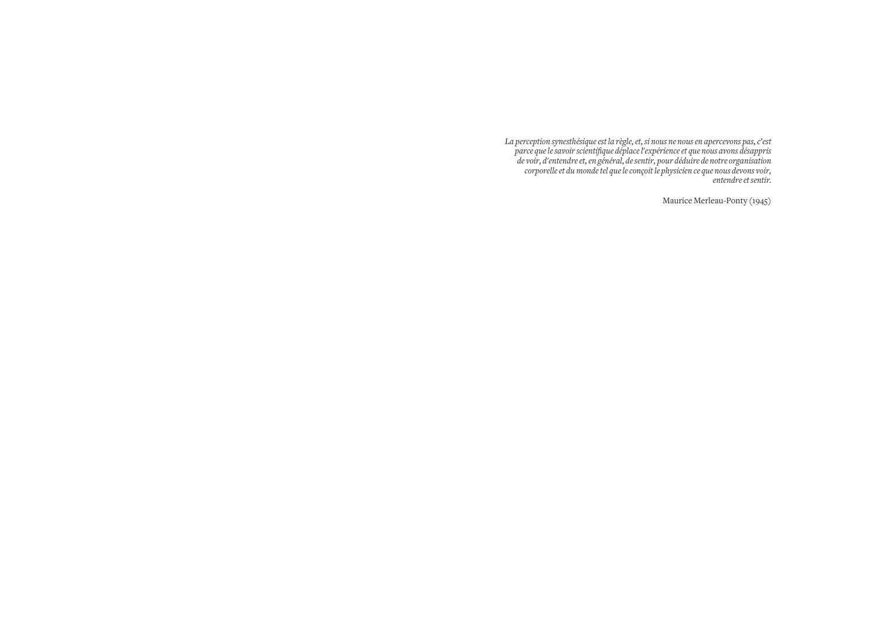*La perception synesthésique est la règle, et, si nous ne nous en apercevons pas, c'est parce que le savoir scientiique déplace l'expérience et que nous avons désappris de voir, d'entendre et, en général, de sentir, pour déduire de notre organisation corporelle et du monde tel que le conçoit le physicien ce que nous devons voir, entendre et sentir.*

Maurice Merleau-Ponty (1945)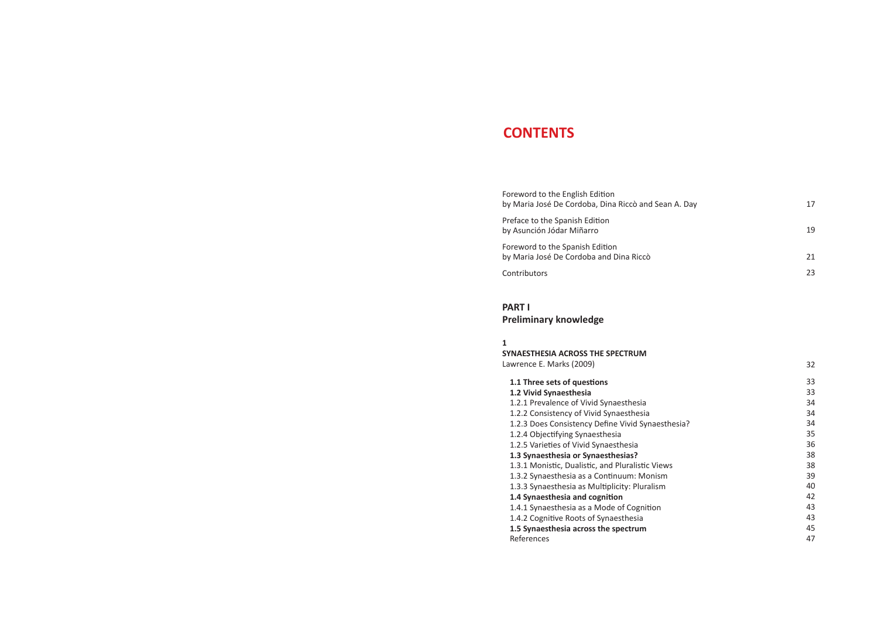# **CONTENTS**

| Foreword to the English Edition<br>by Maria José De Cordoba, Dina Riccò and Sean A. Day | 17 |
|-----------------------------------------------------------------------------------------|----|
| Preface to the Spanish Edition<br>by Asunción Jódar Miñarro                             | 19 |
| Foreword to the Spanish Edition<br>by Maria José De Cordoba and Dina Riccò              | 21 |
| Contributors                                                                            | 23 |

## **PART I**

**Preliminary knowledge**

| 1                                                 |    |
|---------------------------------------------------|----|
| SYNAESTHESIA ACROSS THE SPECTRUM                  |    |
| Lawrence E. Marks (2009)                          | 32 |
| 1.1 Three sets of questions                       | 33 |
| 1.2 Vivid Synaesthesia                            | 33 |
| 1.2.1 Prevalence of Vivid Synaesthesia            | 34 |
| 1.2.2 Consistency of Vivid Synaesthesia           | 34 |
| 1.2.3 Does Consistency Define Vivid Synaesthesia? | 34 |
| 1.2.4 Objectifying Synaesthesia                   | 35 |
| 1.2.5 Varieties of Vivid Synaesthesia             | 36 |
| 1.3 Synaesthesia or Synaesthesias?                | 38 |
| 1.3.1 Monistic, Dualistic, and Pluralistic Views  | 38 |
| 1.3.2 Synaesthesia as a Continuum: Monism         | 39 |
| 1.3.3 Synaesthesia as Multiplicity: Pluralism     | 40 |
| 1.4 Synaesthesia and cognition                    | 42 |
| 1.4.1 Synaesthesia as a Mode of Cognition         | 43 |
| 1.4.2 Cognitive Roots of Synaesthesia             | 43 |
| 1.5 Synaesthesia across the spectrum              | 45 |
| References                                        | 47 |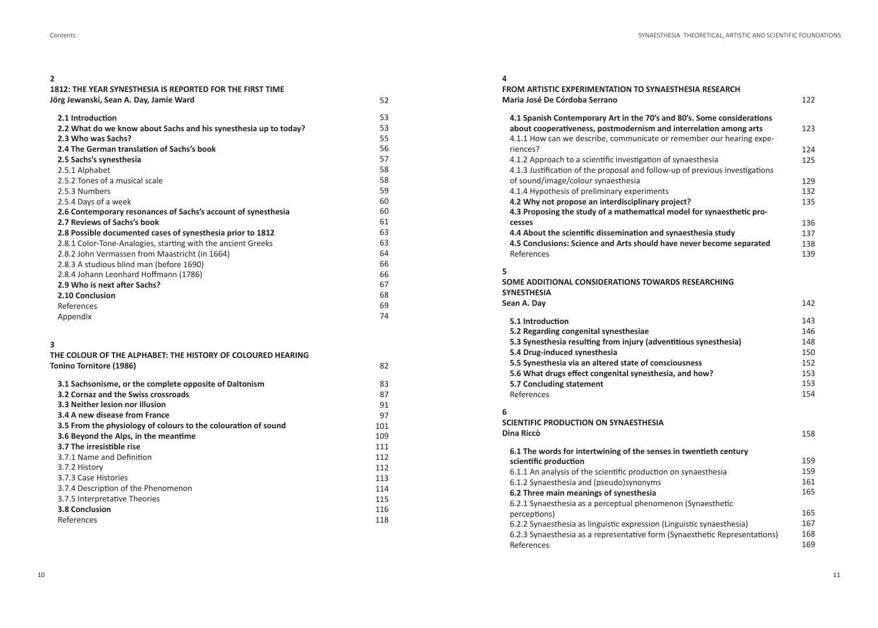### **2**

| 1812: THE YEAR SYNESTHESIA IS REPORTED FOR THE FIRST TIME |  |
|-----------------------------------------------------------|--|
| Jörg Jewanski, Sean A. Day, Jamie Ward                    |  |

| 2.1 Introduction                                                 | 53 |
|------------------------------------------------------------------|----|
| 2.2 What do we know about Sachs and his synesthesia up to today? | 53 |
| 2.3 Who was Sachs?                                               | 55 |
| 2.4 The German translation of Sachs's book                       | 56 |
| 2.5 Sachs's synesthesia                                          | 57 |
| 2.5.1 Alphabet                                                   | 58 |
| 2.5.2 Tones of a musical scale                                   | 58 |
| 2.5.3 Numbers                                                    | 59 |
| 2.5.4 Days of a week                                             | 60 |
| 2.6 Contemporary resonances of Sachs's account of synesthesia    | 60 |
| 2.7 Reviews of Sachs's book                                      | 61 |
| 2.8 Possible documented cases of synesthesia prior to 1812       | 63 |
| 2.8.1 Color-Tone-Analogies, starting with the ancient Greeks     | 63 |
| 2.8.2 John Vermassen from Maastricht (in 1664)                   | 64 |
| 2.8.3 A studious blind man (before 1690)                         | 66 |
| 2.8.4 Johann Leonhard Hoffmann (1786)                            | 66 |
| 2.9 Who is next after Sachs?                                     | 67 |
| 2.10 Conclusion                                                  | 68 |
| References                                                       | 69 |
| Appendix                                                         | 74 |

| 3                                                              |     |
|----------------------------------------------------------------|-----|
| THE COLOUR OF THE ALPHABET: THE HISTORY OF COLOURED HEARING    |     |
| <b>Tonino Tornitore (1986)</b>                                 | 82  |
| 3.1 Sachsonisme, or the complete opposite of Daltonism         | 83  |
| 3.2 Cornaz and the Swiss crossroads                            | 87  |
| 3.3 Neither lesion nor illusion                                | 91  |
| 3.4 A new disease from France                                  | 97  |
| 3.5 From the physiology of colours to the colouration of sound | 101 |
| 3.6 Beyond the Alps, in the meantime                           | 109 |
| 3.7 The irresistible rise                                      | 111 |
| 3.7.1 Name and Definition                                      | 112 |
| 3.7.2 History                                                  | 112 |
| 3.7.3 Case Histories                                           | 113 |
| 3.7.4 Description of the Phenomenon                            | 114 |
| 3.7.5 Interpretative Theories                                  | 115 |
| <b>3.8 Conclusion</b>                                          | 116 |
| References                                                     | 118 |

# **4**

52

| FROM ARTISTIC EXPERIMENTATION TO SYNAESTHESIA RESEARCH                                                                     |     |
|----------------------------------------------------------------------------------------------------------------------------|-----|
| Maria José De Córdoba Serrano                                                                                              | 122 |
| 4.1 Spanish Contemporary Art in the 70's and 80's. Some considerations                                                     |     |
| about cooperativeness, postmodernism and interrelation among arts                                                          | 123 |
| 4.1.1 How can we describe, communicate or remember our hearing expe-                                                       |     |
| riences?                                                                                                                   | 124 |
| 4.1.2 Approach to a scientific investigation of synaesthesia                                                               | 125 |
| 4.1.3 Justification of the proposal and follow-up of previous investigations                                               |     |
| of sound/image/colour synaesthesia                                                                                         | 129 |
| 4.1.4 Hypothesis of preliminary experiments                                                                                | 132 |
| 4.2 Why not propose an interdisciplinary project?<br>4.3 Proposing the study of a mathematical model for synaesthetic pro- | 135 |
| cesses                                                                                                                     | 136 |
| 4.4 About the scientific dissemination and synaesthesia study                                                              | 137 |
| 4.5 Conclusions: Science and Arts should have never become separated                                                       | 138 |
| References                                                                                                                 | 139 |
| 5                                                                                                                          |     |
| SOME ADDITIONAL CONSIDERATIONS TOWARDS RESEARCHING                                                                         |     |
| <b>SYNESTHESIA</b>                                                                                                         |     |
| Sean A. Day                                                                                                                | 142 |
| 5.1 Introduction                                                                                                           | 143 |
| 5.2 Regarding congenital synesthesiae                                                                                      | 146 |
| 5.3 Synesthesia resulting from injury (adventitious synesthesia)                                                           | 148 |
| 5.4 Drug-induced synesthesia                                                                                               | 150 |
| 5.5 Synesthesia via an altered state of consciousness                                                                      | 152 |
| 5.6 What drugs effect congenital synesthesia, and how?                                                                     | 153 |
| 5.7 Concluding statement                                                                                                   | 153 |
| References                                                                                                                 | 154 |
| 6<br><b>SCIENTIFIC PRODUCTION ON SYNAESTHESIA</b>                                                                          |     |
| Dina Riccò                                                                                                                 | 158 |
|                                                                                                                            |     |
| 6.1 The words for intertwining of the senses in twentieth century                                                          |     |
| scientific production                                                                                                      | 159 |
| 6.1.1 An analysis of the scientific production on synaesthesia                                                             | 159 |
| 6.1.2 Synaesthesia and (pseudo)synonyms                                                                                    | 161 |
| 6.2 Three main meanings of synesthesia                                                                                     | 165 |
| 6.2.1 Synaesthesia as a perceptual phenomenon (Synaesthetic                                                                |     |
| perceptions)                                                                                                               | 165 |
| 6.2.2 Synaesthesia as linguistic expression (Linguistic synaesthesia)                                                      | 167 |
| 6.2.3 Synaesthesia as a representative form (Synaesthetic Representations)                                                 | 168 |
| References                                                                                                                 | 169 |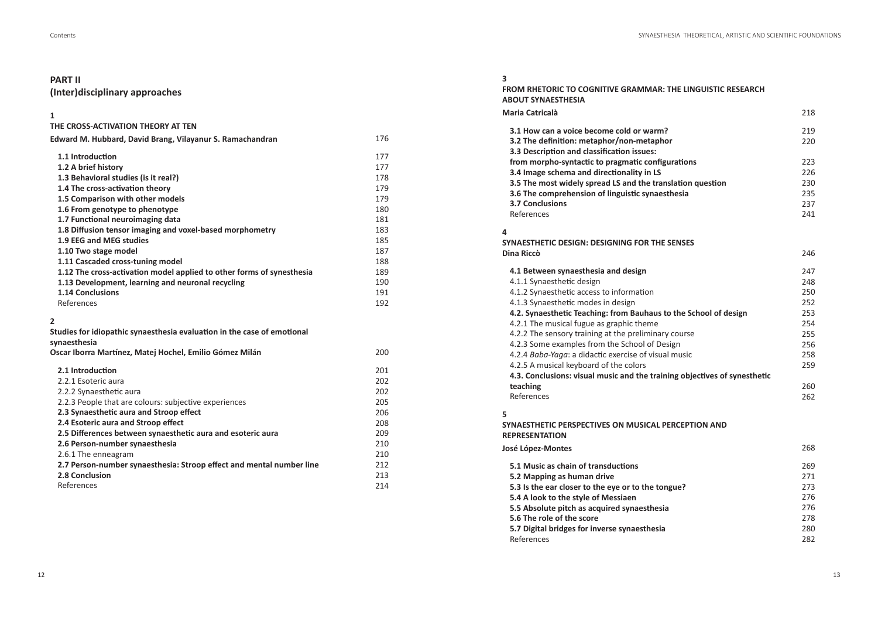### **PART II**

### (Inter)disciplinary approaches

#### $\mathbf{1}$

### THE CROSS-ACTIVATION THEORY AT TEN

| Edward M. Hubbard, David Brang, Vilayanur S. Ramachandran             | 176 |
|-----------------------------------------------------------------------|-----|
| 1.1 Introduction                                                      | 177 |
| 1.2 A brief history                                                   | 177 |
| 1.3 Behavioral studies (is it real?)                                  | 178 |
| 1.4 The cross-activation theory                                       | 179 |
| 1.5 Comparison with other models                                      | 179 |
| 1.6 From genotype to phenotype                                        | 180 |
| 1.7 Functional neuroimaging data                                      | 181 |
| 1.8 Diffusion tensor imaging and voxel-based morphometry              | 183 |
| 1.9 EEG and MEG studies                                               | 185 |
| 1.10 Two stage model                                                  | 187 |
| 1.11 Cascaded cross-tuning model                                      | 188 |
| 1.12 The cross-activation model applied to other forms of synesthesia | 189 |
| 1.13 Development, learning and neuronal recycling                     | 190 |
| <b>1.14 Conclusions</b>                                               | 191 |
| References                                                            | 192 |

#### $\overline{2}$

| Studies for idiopathic synaesthesia evaluation in the case of emotional<br>synaesthesia |     |
|-----------------------------------------------------------------------------------------|-----|
| Oscar Iborra Martínez, Matej Hochel, Emilio Gómez Milán                                 | 200 |
| 2.1 Introduction                                                                        | 201 |
| 2.2.1 Esoteric aura                                                                     | 202 |
| 2.2.2 Synaesthetic aura                                                                 | 202 |
| 2.2.3 People that are colours: subjective experiences                                   | 205 |
| 2.3 Synaesthetic aura and Stroop effect                                                 | 206 |
| 2.4 Esoteric aura and Stroop effect                                                     | 208 |
| 2.5 Differences between synaesthetic aura and esoteric aura                             | 209 |
| 2.6 Person-number synaesthesia                                                          | 210 |
| 2.6.1 The enneagram                                                                     | 210 |
| 2.7 Person-number synaesthesia: Stroop effect and mental number line                    | 212 |
| 2.8 Conclusion                                                                          | 213 |
| References                                                                              | 214 |

#### $\overline{\mathbf{3}}$ FROM RHETORIC TO COGNITIVE GRAMMAR: THE LINGUISTIC RESEARCH **ABOUT SYNAESTHESIA Maria Catricalà** 218 219 3.1 How can a voice become cold or warm? 3.2 The definition: metaphor/non-metaphor 220 3.3 Description and classification issues: 223 from morpho-syntactic to pragmatic configurations 3.4 Image schema and directionality in LS 226 3.5 The most widely spread LS and the translation question 230 3.6 The comprehension of linguistic synaesthesia 235 237 3.7 Conclusions References 241  $\overline{4}$ SYNAESTHETIC DESIGN: DESIGNING FOR THE SENSES Dina Riccò 246 4.1 Between synaesthesia and design 247 4.1.1 Synaesthetic design 248 4.1.2 Synaesthetic access to information 250 252 4.1.3 Synaesthetic modes in design 253 4.2. Synaesthetic Teaching: from Bauhaus to the School of design 4.2.1 The musical fugue as graphic theme 254 4.2.2 The sensory training at the preliminary course 255 256 4.2.3 Some examples from the School of Design 4.2.4 Baba-Yaga: a didactic exercise of visual music 258 4.2.5 A musical keyboard of the colors 259 4.3. Conclusions: visual music and the training objectives of synesthetic 260 teaching References 262 5 SYNAESTHETIC PERSPECTIVES ON MUSICAL PERCEPTION AND **REPRESENTATION** José López-Montes 268 5.1 Music as chain of transductions 269 271 5.2 Mapping as human drive 273 5.3 Is the ear closer to the eye or to the tongue? 276 5.4 A look to the style of Messiaen 5.5 Absolute pitch as acquired synaesthesia 276 278 5.6 The role of the score 280 5.7 Digital bridges for inverse synaesthesia

References

282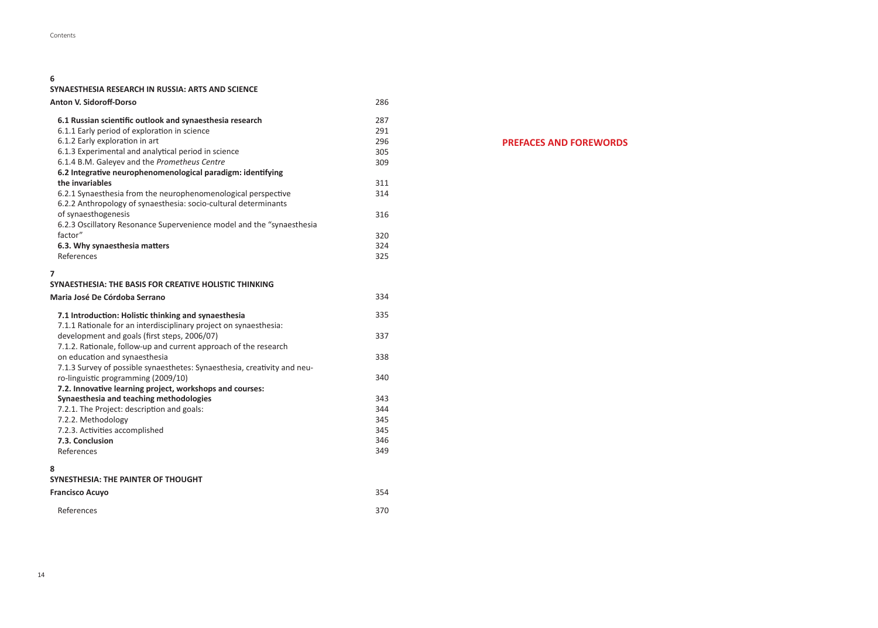### **6**

**SYNAESTHESIA RESEARCH IN RUSSIA: ARTS AND SCIENCE**

| <b>Anton V. Sidoroff-Dorso</b>                                           | 286 |
|--------------------------------------------------------------------------|-----|
| 6.1 Russian scientific outlook and synaesthesia research                 | 287 |
| 6.1.1 Early period of exploration in science                             | 291 |
| 6.1.2 Early exploration in art                                           | 296 |
| 6.1.3 Experimental and analytical period in science                      | 305 |
| 6.1.4 B.M. Galeyev and the Prometheus Centre                             | 309 |
| 6.2 Integrative neurophenomenological paradigm: identifying              |     |
| the invariables                                                          | 311 |
| 6.2.1 Synaesthesia from the neurophenomenological perspective            | 314 |
| 6.2.2 Anthropology of synaesthesia: socio-cultural determinants          |     |
| of synaesthogenesis                                                      | 316 |
| 6.2.3 Oscillatory Resonance Supervenience model and the "synaesthesia    |     |
| factor"                                                                  | 320 |
| 6.3. Why synaesthesia matters                                            | 324 |
| References                                                               | 325 |
| 7                                                                        |     |
| SYNAESTHESIA: THE BASIS FOR CREATIVE HOLISTIC THINKING                   |     |
| Maria José De Córdoba Serrano                                            | 334 |
| 7.1 Introduction: Holistic thinking and synaesthesia                     | 335 |
| 7.1.1 Rationale for an interdisciplinary project on synaesthesia:        |     |
| development and goals (first steps, 2006/07)                             | 337 |
| 7.1.2. Rationale, follow-up and current approach of the research         |     |
| on education and synaesthesia                                            | 338 |
| 7.1.3 Survey of possible synaesthetes: Synaesthesia, creativity and neu- |     |
| ro-linguistic programming (2009/10)                                      | 340 |
| 7.2. Innovative learning project, workshops and courses:                 |     |
| Synaesthesia and teaching methodologies                                  | 343 |
| 7.2.1. The Project: description and goals:                               | 344 |
| 7.2.2. Methodology                                                       | 345 |
| 7.2.3. Activities accomplished                                           | 345 |
| 7.3. Conclusion                                                          | 346 |
| References                                                               | 349 |
| 8                                                                        |     |
| <b>SYNESTHESIA: THE PAINTER OF THOUGHT</b>                               |     |
| <b>Francisco Acuyo</b>                                                   | 354 |

370

# **PREFACES AND FOREWORDS**

References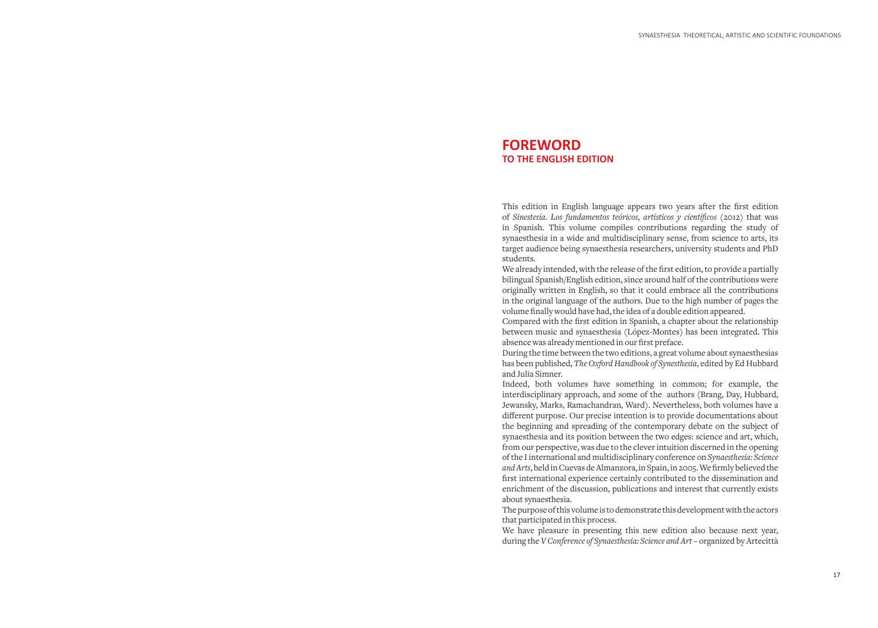# **FOREWORD TO THE ENGLISH EDITION**

This edition in English language appears two years after the first edition of *Sinestesia. Los fundamentos teóricos, artísticos y cientíicos* (2012) that was in Spanish. This volume compiles contributions regarding the study of synaesthesia in a wide and multidisciplinary sense, from science to arts, its target audience being synaesthesia researchers, university students and PhD students.

We already intended, with the release of the first edition, to provide a partially bilingual Spanish/English edition, since around half of the contributions were originally written in English, so that it could embrace all the contributions in the original language of the authors. Due to the high number of pages the volume finally would have had, the idea of a double edition appeared.

Compared with the first edition in Spanish, a chapter about the relationship between music and synaesthesia (López-Montes) has been integrated. This absence was already mentioned in our first preface.

During the time between the two editions, a great volume about synaesthesias has been published, *The Oxford Handbook of Synesthesia*, edited by Ed Hubbard and Julia Simner.

Indeed, both volumes have something in common; for example, the interdisciplinary approach, and some of the authors (Brang, Day, Hubbard, Jewansky, Marks, Ramachandran, Ward). Nevertheless, both volumes have a diferent purpose. Our precise intention is to provide documentations about the beginning and spreading of the contemporary debate on the subject of synaesthesia and its position between the two edges: science and art, which, from our perspective, was due to the clever intuition discerned in the opening of the I international and multidisciplinary conference on *Synaesthesia: Science*  and Arts, held in Cuevas de Almanzora, in Spain, in 2005. We firmly believed the first international experience certainly contributed to the dissemination and enrichment of the discussion, publications and interest that currently exists about synaesthesia.

The purpose of this volume is to demonstrate this development with the actors that participated in this process.

We have pleasure in presenting this new edition also because next year, during the *V Conference of Synaesthesia: Science and Art* – organized by Artecittà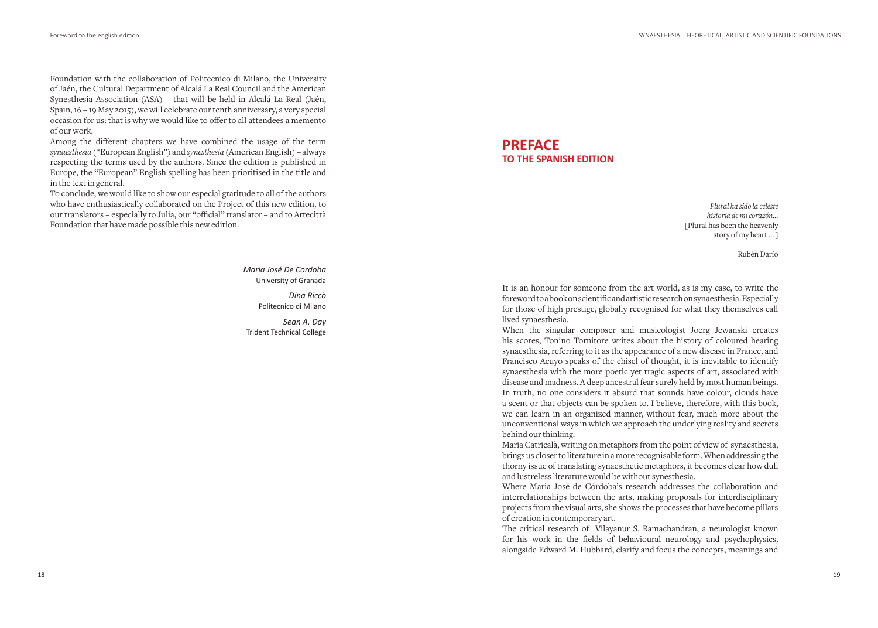Foundation with the collaboration of Politecnico di Milano, the University of Jaén, the Cultural Department of Alcalá La Real Council and the American Synesthesia Association (ASA) – that will be held in Alcalá La Real (Jaén, Spain, 16 – 19 May 2015), we will celebrate our tenth anniversary, a very special occasion for us: that is why we would like to offer to all attendees a memento of our work.

Among the diferent chapters we have combined the usage of the term *synaesthesia* ("European English") and *synesthesia* (American English) – always respecting the terms used by the authors. Since the edition is published in Europe, the "European" English spelling has been prioritised in the title and in the text in general.

To conclude, we would like to show our especial gratitude to all of the authors who have enthusiastically collaborated on the Project of this new edition, to our translators - especially to Julia, our "official" translator - and to Artecittà Foundation that have made possible this new edition.

> *Maria José De Cordoba* University of Granada

> > *Dina Riccò*  Politecnico di Milano

*Sean A. Day* Trident Technical College

# **PREFACE TO THE SPANISH EDITION**

*Plural ha sido la celeste historia de mi corazón…* [Plural has been the heavenly story of my heart ... ]

Rubén Darío

It is an honour for someone from the art world, as is my case, to write the foreword to a book on scientiic and artistic research on synaesthesia. Especially for those of high prestige, globally recognised for what they themselves call lived synaesthesia.

When the singular composer and musicologist Joerg Jewanski creates his scores, Tonino Tornitore writes about the history of coloured hearing synaesthesia, referring to it as the appearance of a new disease in France, and Francisco Acuyo speaks of the chisel of thought, it is inevitable to identify synaesthesia with the more poetic yet tragic aspects of art, associated with disease and madness. A deep ancestral fear surely held by most human beings. In truth, no one considers it absurd that sounds have colour, clouds have a scent or that objects can be spoken to. I believe, therefore, with this book, we can learn in an organized manner, without fear, much more about the unconventional ways in which we approach the underlying reality and secrets behind our thinking.

Maria Catricalà, writing on metaphors from the point of view of synaesthesia, brings us closer to literature in a more recognisable form. When addressing the thorny issue of translating synaesthetic metaphors, it becomes clear how dull and lustreless literature would be without synesthesia.

Where Maria José de Córdoba's research addresses the collaboration and interrelationships between the arts, making proposals for interdisciplinary projects from the visual arts, she shows the processes that have become pillars of creation in contemporary art.

The critical research of Vilayanur S. Ramachandran, a neurologist known for his work in the ields of behavioural neurology and psychophysics, alongside Edward M. Hubbard, clarify and focus the concepts, meanings and